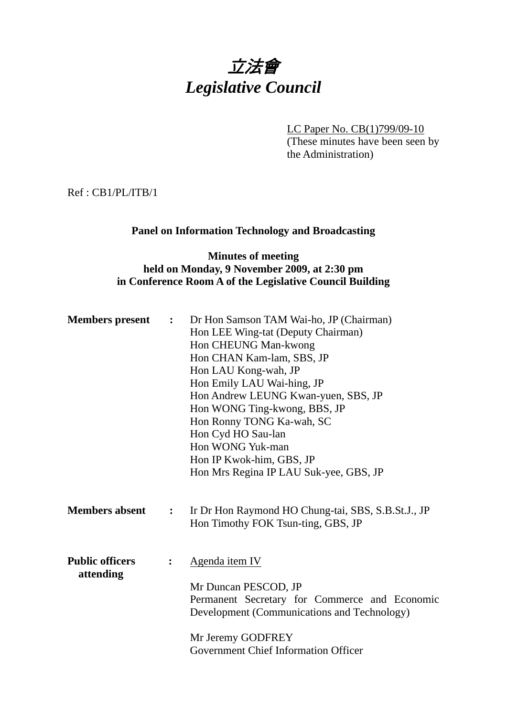# 立法會 *Legislative Council*

LC Paper No. CB(1)799/09-10 (These minutes have been seen by the Administration)

Ref : CB1/PL/ITB/1

#### **Panel on Information Technology and Broadcasting**

#### **Minutes of meeting held on Monday, 9 November 2009, at 2:30 pm in Conference Room A of the Legislative Council Building**

| <b>Members</b> present<br>$\ddot{\cdot}$ |                | Dr Hon Samson TAM Wai-ho, JP (Chairman)<br>Hon LEE Wing-tat (Deputy Chairman)<br>Hon CHEUNG Man-kwong<br>Hon CHAN Kam-lam, SBS, JP<br>Hon LAU Kong-wah, JP<br>Hon Emily LAU Wai-hing, JP<br>Hon Andrew LEUNG Kwan-yuen, SBS, JP<br>Hon WONG Ting-kwong, BBS, JP<br>Hon Ronny TONG Ka-wah, SC<br>Hon Cyd HO Sau-lan<br>Hon WONG Yuk-man<br>Hon IP Kwok-him, GBS, JP |
|------------------------------------------|----------------|--------------------------------------------------------------------------------------------------------------------------------------------------------------------------------------------------------------------------------------------------------------------------------------------------------------------------------------------------------------------|
|                                          |                | Hon Mrs Regina IP LAU Suk-yee, GBS, JP                                                                                                                                                                                                                                                                                                                             |
| <b>Members absent</b>                    | $\ddot{\cdot}$ | Ir Dr Hon Raymond HO Chung-tai, SBS, S.B.St.J., JP<br>Hon Timothy FOK Tsun-ting, GBS, JP                                                                                                                                                                                                                                                                           |
| <b>Public officers</b><br>attending      |                | Agenda item IV<br>Mr Duncan PESCOD, JP<br>Permanent Secretary for Commerce and Economic<br>Development (Communications and Technology)                                                                                                                                                                                                                             |
|                                          |                | Mr Jeremy GODFREY<br><b>Government Chief Information Officer</b>                                                                                                                                                                                                                                                                                                   |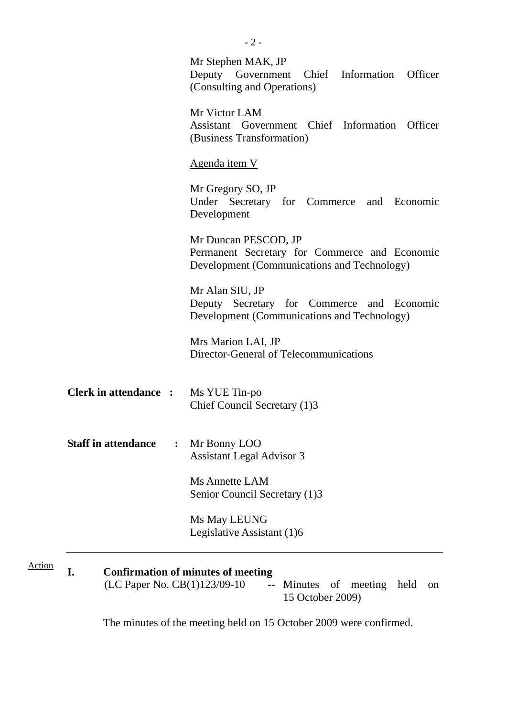|                                                                                                                                                         | Mr Stephen MAK, JP<br>Deputy Government<br>Chief Information Officer<br>(Consulting and Operations)                  |  |  |  |
|---------------------------------------------------------------------------------------------------------------------------------------------------------|----------------------------------------------------------------------------------------------------------------------|--|--|--|
|                                                                                                                                                         | Mr Victor LAM<br>Assistant Government Chief Information Officer<br>(Business Transformation)                         |  |  |  |
|                                                                                                                                                         | <u>Agenda item V</u>                                                                                                 |  |  |  |
|                                                                                                                                                         | Mr Gregory SO, JP<br>Under Secretary for Commerce and Economic<br>Development                                        |  |  |  |
|                                                                                                                                                         | Mr Duncan PESCOD, JP<br>Permanent Secretary for Commerce and Economic<br>Development (Communications and Technology) |  |  |  |
|                                                                                                                                                         | Mr Alan SIU, JP<br>Deputy Secretary for Commerce and Economic<br>Development (Communications and Technology)         |  |  |  |
|                                                                                                                                                         | Mrs Marion LAI, JP<br>Director-General of Telecommunications                                                         |  |  |  |
| <b>Clerk in attendance : Ms YUE Tin-po</b>                                                                                                              | Chief Council Secretary (1)3                                                                                         |  |  |  |
| <b>Staff in attendance</b><br>$\ddot{\cdot}$                                                                                                            | Mr Bonny LOO<br><b>Assistant Legal Advisor 3</b>                                                                     |  |  |  |
|                                                                                                                                                         | Ms Annette LAM<br>Senior Council Secretary (1)3                                                                      |  |  |  |
|                                                                                                                                                         | Ms May LEUNG<br>Legislative Assistant (1)6                                                                           |  |  |  |
| <b>Confirmation of minutes of meeting</b><br>I.<br>(LC Paper No. CB(1)123/09-10<br>Minutes of meeting held<br>$ -$<br><sub>on</sub><br>15 October 2009) |                                                                                                                      |  |  |  |

The minutes of the meeting held on 15 October 2009 were confirmed.

Action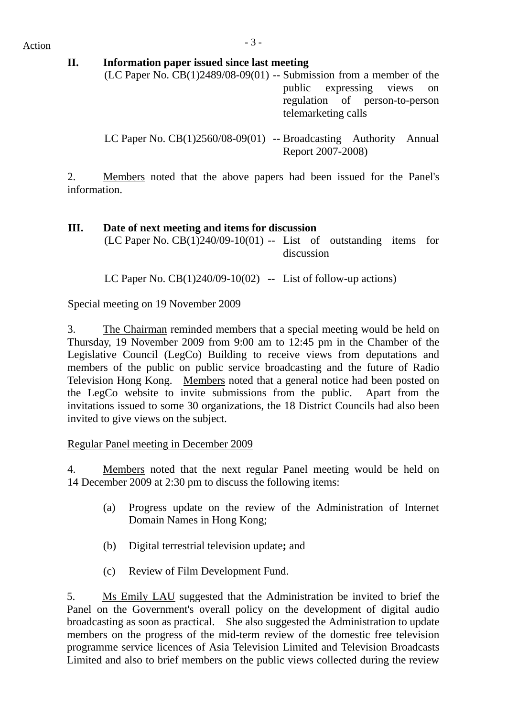$Action$ 

#### **II. Information paper issued since last meeting**

(LC Paper No.  $CB(1)2489/08-09(01)$  -- Submission from a member of the public expressing views on regulation of person-to-person telemarketing calls

LC Paper No. CB(1)2560/08-09(01) -- Broadcasting Authority Annual Report 2007-2008)

2. Members noted that the above papers had been issued for the Panel's information.

#### **III. Date of next meeting and items for discussion**

(LC Paper No.  $CB(1)240/09-10(01)$  -- List of outstanding items for discussion

LC Paper No.  $CB(1)240/09-10(02)$  -- List of follow-up actions)

#### Special meeting on 19 November 2009

3. The Chairman reminded members that a special meeting would be held on Thursday, 19 November 2009 from 9:00 am to 12:45 pm in the Chamber of the Legislative Council (LegCo) Building to receive views from deputations and members of the public on public service broadcasting and the future of Radio Television Hong Kong. Members noted that a general notice had been posted on the LegCo website to invite submissions from the public. Apart from the invitations issued to some 30 organizations, the 18 District Councils had also been invited to give views on the subject.

#### Regular Panel meeting in December 2009

4. Members noted that the next regular Panel meeting would be held on 14 December 2009 at 2:30 pm to discuss the following items:

- (a) Progress update on the review of the Administration of Internet Domain Names in Hong Kong;
- (b) Digital terrestrial television update**;** and
- (c) Review of Film Development Fund.

5. Ms Emily LAU suggested that the Administration be invited to brief the Panel on the Government's overall policy on the development of digital audio broadcasting as soon as practical. She also suggested the Administration to update members on the progress of the mid-term review of the domestic free television programme service licences of Asia Television Limited and Television Broadcasts Limited and also to brief members on the public views collected during the review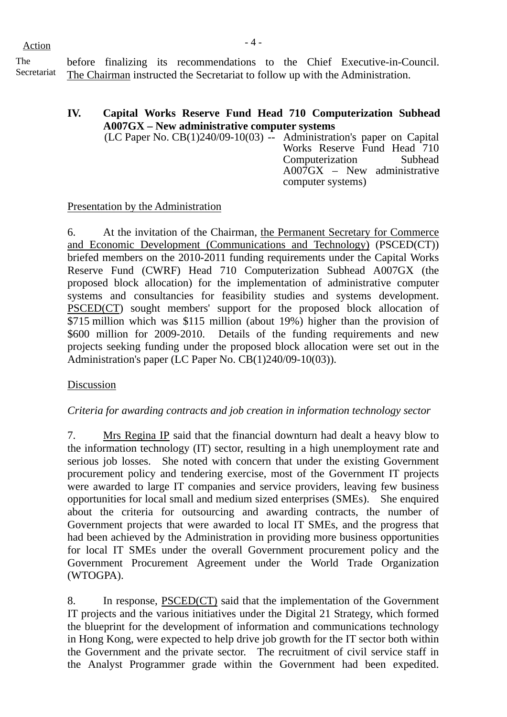| The         | before     |        | fir |
|-------------|------------|--------|-----|
| Secretoriat | <b>гтч</b> | $\sim$ |     |

ecretariat before finalizing its recommendations to the Chief Executive-in-Council. The Chairman instructed the Secretariat to follow up with the Administration.

#### **IV. Capital Works Reserve Fund Head 710 Computerization Subhead A007GX – New administrative computer systems**

(LC Paper No. CB(1)240/09-10(03) -- Administration's paper on Capital Works Reserve Fund Head 710 Computerization Subhead A007GX – New administrative computer systems)

#### Presentation by the Administration

6. At the invitation of the Chairman, the Permanent Secretary for Commerce and Economic Development (Communications and Technology) (PSCED(CT)) briefed members on the 2010-2011 funding requirements under the Capital Works Reserve Fund (CWRF) Head 710 Computerization Subhead A007GX (the proposed block allocation) for the implementation of administrative computer systems and consultancies for feasibility studies and systems development. PSCED(CT) sought members' support for the proposed block allocation of \$715 million which was \$115 million (about 19%) higher than the provision of \$600 million for 2009-2010. Details of the funding requirements and new projects seeking funding under the proposed block allocation were set out in the Administration's paper (LC Paper No. CB(1)240/09-10(03)).

#### Discussion

#### *Criteria for awarding contracts and job creation in information technology sector*

7. Mrs Regina IP said that the financial downturn had dealt a heavy blow to the information technology (IT) sector, resulting in a high unemployment rate and serious job losses. She noted with concern that under the existing Government procurement policy and tendering exercise, most of the Government IT projects were awarded to large IT companies and service providers, leaving few business opportunities for local small and medium sized enterprises (SMEs). She enquired about the criteria for outsourcing and awarding contracts, the number of Government projects that were awarded to local IT SMEs, and the progress that had been achieved by the Administration in providing more business opportunities for local IT SMEs under the overall Government procurement policy and the Government Procurement Agreement under the World Trade Organization (WTOGPA).

8. In response, PSCED(CT) said that the implementation of the Government IT projects and the various initiatives under the Digital 21 Strategy, which formed the blueprint for the development of information and communications technology in Hong Kong, were expected to help drive job growth for the IT sector both within the Government and the private sector. The recruitment of civil service staff in the Analyst Programmer grade within the Government had been expedited.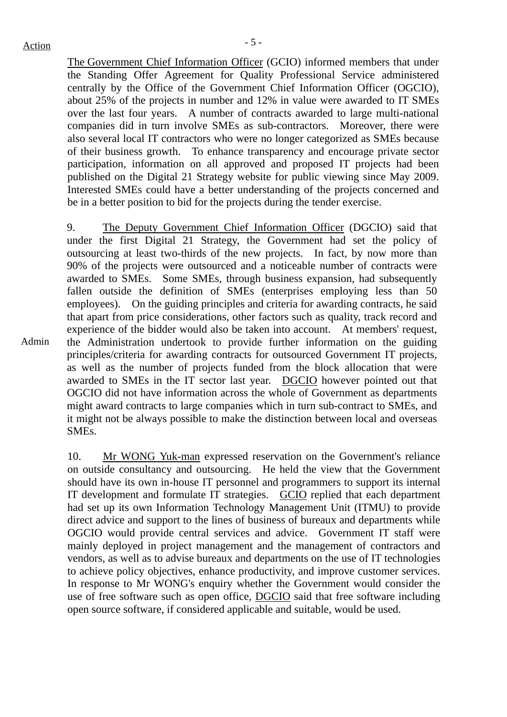The Government Chief Information Officer (GCIO) informed members that under the Standing Offer Agreement for Quality Professional Service administered centrally by the Office of the Government Chief Information Officer (OGCIO), about 25% of the projects in number and 12% in value were awarded to IT SMEs over the last four years. A number of contracts awarded to large multi-national companies did in turn involve SMEs as sub-contractors. Moreover, there were also several local IT contractors who were no longer categorized as SMEs because of their business growth. To enhance transparency and encourage private sector participation, information on all approved and proposed IT projects had been published on the Digital 21 Strategy website for public viewing since May 2009. Interested SMEs could have a better understanding of the projects concerned and be in a better position to bid for the projects during the tender exercise.

Admin 9. The Deputy Government Chief Information Officer (DGCIO) said that under the first Digital 21 Strategy, the Government had set the policy of outsourcing at least two-thirds of the new projects. In fact, by now more than 90% of the projects were outsourced and a noticeable number of contracts were awarded to SMEs. Some SMEs, through business expansion, had subsequently fallen outside the definition of SMEs (enterprises employing less than 50 employees). On the guiding principles and criteria for awarding contracts, he said that apart from price considerations, other factors such as quality, track record and experience of the bidder would also be taken into account. At members' request, the Administration undertook to provide further information on the guiding principles/criteria for awarding contracts for outsourced Government IT projects, as well as the number of projects funded from the block allocation that were awarded to SMEs in the IT sector last year. DGCIO however pointed out that OGCIO did not have information across the whole of Government as departments might award contracts to large companies which in turn sub-contract to SMEs, and it might not be always possible to make the distinction between local and overseas SMEs.

> 10. Mr WONG Yuk-man expressed reservation on the Government's reliance on outside consultancy and outsourcing. He held the view that the Government should have its own in-house IT personnel and programmers to support its internal IT development and formulate IT strategies. GCIO replied that each department had set up its own Information Technology Management Unit (ITMU) to provide direct advice and support to the lines of business of bureaux and departments while OGCIO would provide central services and advice. Government IT staff were mainly deployed in project management and the management of contractors and vendors, as well as to advise bureaux and departments on the use of IT technologies to achieve policy objectives, enhance productivity, and improve customer services. In response to Mr WONG's enquiry whether the Government would consider the use of free software such as open office, DGCIO said that free software including open source software, if considered applicable and suitable, would be used.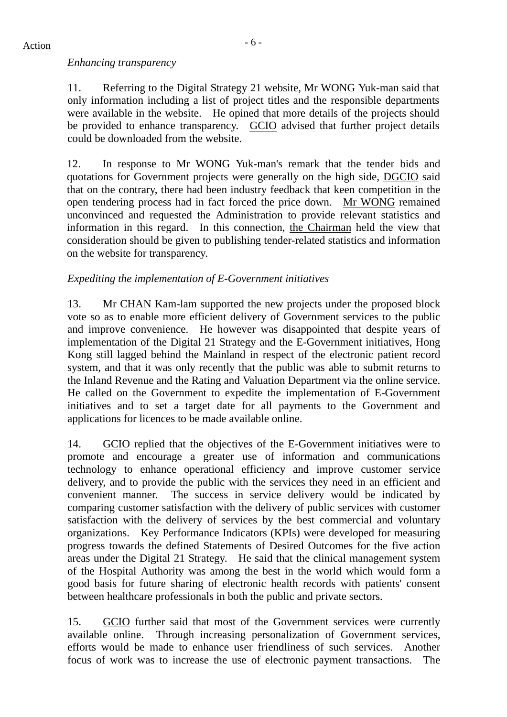#### *Enhancing transparency*

11. Referring to the Digital Strategy 21 website, Mr WONG Yuk-man said that only information including a list of project titles and the responsible departments were available in the website. He opined that more details of the projects should be provided to enhance transparency. GCIO advised that further project details could be downloaded from the website.

12. In response to Mr WONG Yuk-man's remark that the tender bids and quotations for Government projects were generally on the high side, DGCIO said that on the contrary, there had been industry feedback that keen competition in the open tendering process had in fact forced the price down. Mr WONG remained unconvinced and requested the Administration to provide relevant statistics and information in this regard. In this connection, the Chairman held the view that consideration should be given to publishing tender-related statistics and information on the website for transparency.

#### *Expediting the implementation of E-Government initiatives*

13. Mr CHAN Kam-lam supported the new projects under the proposed block vote so as to enable more efficient delivery of Government services to the public and improve convenience. He however was disappointed that despite years of implementation of the Digital 21 Strategy and the E-Government initiatives, Hong Kong still lagged behind the Mainland in respect of the electronic patient record system, and that it was only recently that the public was able to submit returns to the Inland Revenue and the Rating and Valuation Department via the online service. He called on the Government to expedite the implementation of E-Government initiatives and to set a target date for all payments to the Government and applications for licences to be made available online.

14. GCIO replied that the objectives of the E-Government initiatives were to promote and encourage a greater use of information and communications technology to enhance operational efficiency and improve customer service delivery, and to provide the public with the services they need in an efficient and convenient manner. The success in service delivery would be indicated by comparing customer satisfaction with the delivery of public services with customer satisfaction with the delivery of services by the best commercial and voluntary organizations. Key Performance Indicators (KPIs) were developed for measuring progress towards the defined Statements of Desired Outcomes for the five action areas under the Digital 21 Strategy. He said that the clinical management system of the Hospital Authority was among the best in the world which would form a good basis for future sharing of electronic health records with patients' consent between healthcare professionals in both the public and private sectors.

15. GCIO further said that most of the Government services were currently available online. Through increasing personalization of Government services, efforts would be made to enhance user friendliness of such services. Another focus of work was to increase the use of electronic payment transactions. The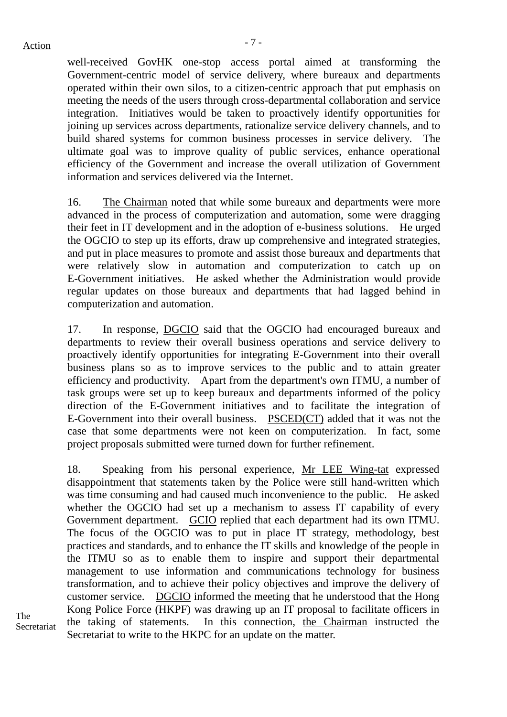well-received GovHK one-stop access portal aimed at transforming the Government-centric model of service delivery, where bureaux and departments operated within their own silos, to a citizen-centric approach that put emphasis on meeting the needs of the users through cross-departmental collaboration and service integration. Initiatives would be taken to proactively identify opportunities for joining up services across departments, rationalize service delivery channels, and to build shared systems for common business processes in service delivery. The ultimate goal was to improve quality of public services, enhance operational efficiency of the Government and increase the overall utilization of Government information and services delivered via the Internet.

16. The Chairman noted that while some bureaux and departments were more advanced in the process of computerization and automation, some were dragging their feet in IT development and in the adoption of e-business solutions. He urged the OGCIO to step up its efforts, draw up comprehensive and integrated strategies, and put in place measures to promote and assist those bureaux and departments that were relatively slow in automation and computerization to catch up on E-Government initiatives. He asked whether the Administration would provide regular updates on those bureaux and departments that had lagged behind in computerization and automation.

17. In response, DGCIO said that the OGCIO had encouraged bureaux and departments to review their overall business operations and service delivery to proactively identify opportunities for integrating E-Government into their overall business plans so as to improve services to the public and to attain greater efficiency and productivity. Apart from the department's own ITMU, a number of task groups were set up to keep bureaux and departments informed of the policy direction of the E-Government initiatives and to facilitate the integration of E-Government into their overall business. PSCED(CT) added that it was not the case that some departments were not keen on computerization. In fact, some project proposals submitted were turned down for further refinement.

18. Speaking from his personal experience, Mr LEE Wing-tat expressed disappointment that statements taken by the Police were still hand-written which was time consuming and had caused much inconvenience to the public. He asked whether the OGCIO had set up a mechanism to assess IT capability of every Government department. GCIO replied that each department had its own ITMU. The focus of the OGCIO was to put in place IT strategy, methodology, best practices and standards, and to enhance the IT skills and knowledge of the people in the ITMU so as to enable them to inspire and support their departmental management to use information and communications technology for business transformation, and to achieve their policy objectives and improve the delivery of customer service. DGCIO informed the meeting that he understood that the Hong Kong Police Force (HKPF) was drawing up an IT proposal to facilitate officers in the taking of statements. In this connection, the Chairman instructed the Secretariat to write to the HKPC for an update on the matter.

The Secretariat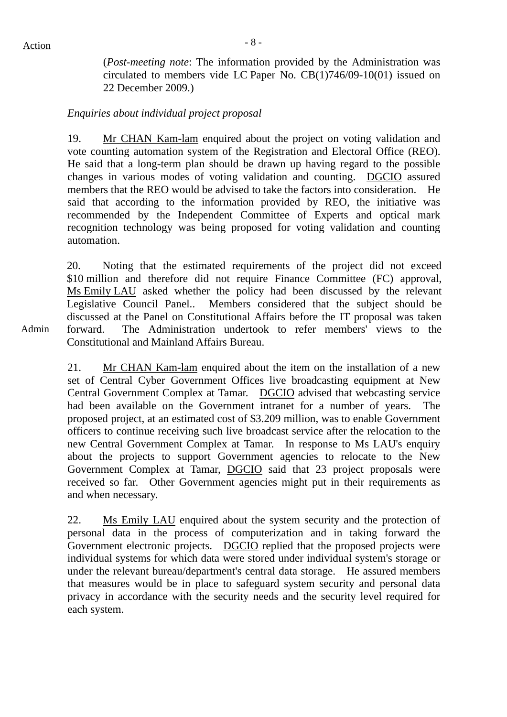(*Post-meeting note*: The information provided by the Administration was circulated to members vide LC Paper No. CB(1)746/09-10(01) issued on 22 December 2009.)

#### *Enquiries about individual project proposal*

19. Mr CHAN Kam-lam enquired about the project on voting validation and vote counting automation system of the Registration and Electoral Office (REO). He said that a long-term plan should be drawn up having regard to the possible changes in various modes of voting validation and counting. DGCIO assured members that the REO would be advised to take the factors into consideration. He said that according to the information provided by REO, the initiative was recommended by the Independent Committee of Experts and optical mark recognition technology was being proposed for voting validation and counting automation.

20. Noting that the estimated requirements of the project did not exceed \$10 million and therefore did not require Finance Committee (FC) approval, Ms Emily LAU asked whether the policy had been discussed by the relevant Legislative Council Panel.. Members considered that the subject should be discussed at the Panel on Constitutional Affairs before the IT proposal was taken forward. The Administration undertook to refer members' views to the Constitutional and Mainland Affairs Bureau.

Admin

21. Mr CHAN Kam-lam enquired about the item on the installation of a new set of Central Cyber Government Offices live broadcasting equipment at New Central Government Complex at Tamar. DGCIO advised that webcasting service had been available on the Government intranet for a number of years. The proposed project, at an estimated cost of \$3.209 million, was to enable Government officers to continue receiving such live broadcast service after the relocation to the new Central Government Complex at Tamar. In response to Ms LAU's enquiry about the projects to support Government agencies to relocate to the New Government Complex at Tamar, DGCIO said that 23 project proposals were received so far. Other Government agencies might put in their requirements as and when necessary.

22. Ms Emily LAU enquired about the system security and the protection of personal data in the process of computerization and in taking forward the Government electronic projects. DGCIO replied that the proposed projects were individual systems for which data were stored under individual system's storage or under the relevant bureau/department's central data storage. He assured members that measures would be in place to safeguard system security and personal data privacy in accordance with the security needs and the security level required for each system.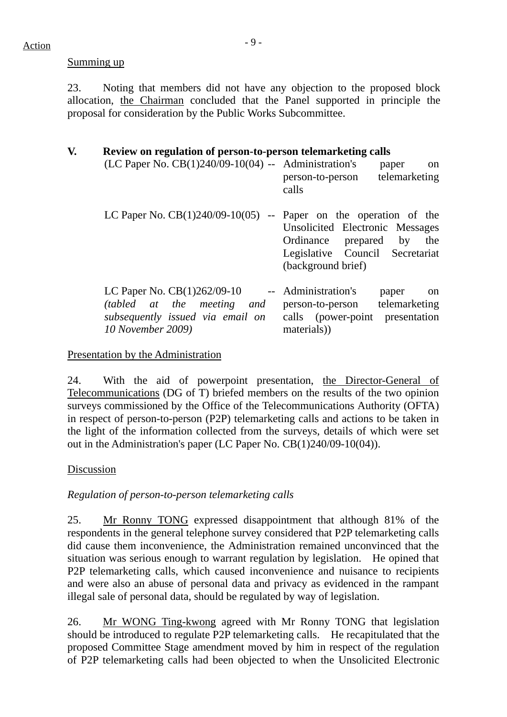#### Summing up

23. Noting that members did not have any objection to the proposed block allocation, the Chairman concluded that the Panel supported in principle the proposal for consideration by the Public Works Subcommittee.

| V. | Review on regulation of person-to-person telemarketing calls<br>$(LC$ Paper No. $CB(1)240/09-10(04)$ -- Administration's              | paper<br><sub>on</sub><br>telemarketing<br>person-to-person<br>calls                                                             |
|----|---------------------------------------------------------------------------------------------------------------------------------------|----------------------------------------------------------------------------------------------------------------------------------|
|    | LC Paper No. $CB(1)240/09-10(05)$ -- Paper on the operation of the                                                                    | Unsolicited Electronic Messages<br>Ordinance prepared by<br>the<br>Legislative Council Secretariat<br>(background brief)         |
|    | LC Paper No. $CB(1)262/09-10$<br>$\sim$ $\sim$<br>(tabled at the meeting and<br>subsequently issued via email on<br>10 November 2009) | Administration's<br>paper<br><sub>on</sub><br>telemarketing<br>person-to-person<br>calls (power-point presentation<br>materials) |

#### Presentation by the Administration

24. With the aid of powerpoint presentation, the Director-General of Telecommunications (DG of T) briefed members on the results of the two opinion surveys commissioned by the Office of the Telecommunications Authority (OFTA) in respect of person-to-person (P2P) telemarketing calls and actions to be taken in the light of the information collected from the surveys, details of which were set out in the Administration's paper (LC Paper No. CB(1)240/09-10(04)).

#### Discussion

*Regulation of person-to-person telemarketing calls* 

25. Mr Ronny TONG expressed disappointment that although 81% of the respondents in the general telephone survey considered that P2P telemarketing calls did cause them inconvenience, the Administration remained unconvinced that the situation was serious enough to warrant regulation by legislation. He opined that P2P telemarketing calls, which caused inconvenience and nuisance to recipients and were also an abuse of personal data and privacy as evidenced in the rampant illegal sale of personal data, should be regulated by way of legislation.

26. Mr WONG Ting-kwong agreed with Mr Ronny TONG that legislation should be introduced to regulate P2P telemarketing calls. He recapitulated that the proposed Committee Stage amendment moved by him in respect of the regulation of P2P telemarketing calls had been objected to when the Unsolicited Electronic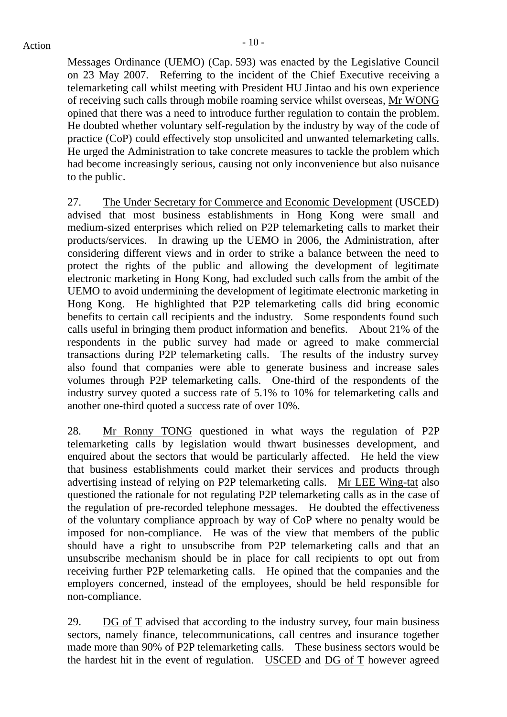Messages Ordinance (UEMO) (Cap. 593) was enacted by the Legislative Council on 23 May 2007. Referring to the incident of the Chief Executive receiving a telemarketing call whilst meeting with President HU Jintao and his own experience of receiving such calls through mobile roaming service whilst overseas, Mr WONG opined that there was a need to introduce further regulation to contain the problem. He doubted whether voluntary self-regulation by the industry by way of the code of practice (CoP) could effectively stop unsolicited and unwanted telemarketing calls. He urged the Administration to take concrete measures to tackle the problem which had become increasingly serious, causing not only inconvenience but also nuisance to the public.

27. The Under Secretary for Commerce and Economic Development (USCED) advised that most business establishments in Hong Kong were small and medium-sized enterprises which relied on P2P telemarketing calls to market their products/services. In drawing up the UEMO in 2006, the Administration, after considering different views and in order to strike a balance between the need to protect the rights of the public and allowing the development of legitimate electronic marketing in Hong Kong, had excluded such calls from the ambit of the UEMO to avoid undermining the development of legitimate electronic marketing in Hong Kong. He highlighted that P2P telemarketing calls did bring economic benefits to certain call recipients and the industry. Some respondents found such calls useful in bringing them product information and benefits. About 21% of the respondents in the public survey had made or agreed to make commercial transactions during P2P telemarketing calls. The results of the industry survey also found that companies were able to generate business and increase sales volumes through P2P telemarketing calls. One-third of the respondents of the industry survey quoted a success rate of 5.1% to 10% for telemarketing calls and another one-third quoted a success rate of over 10%.

28. Mr Ronny TONG questioned in what ways the regulation of P2P telemarketing calls by legislation would thwart businesses development, and enquired about the sectors that would be particularly affected. He held the view that business establishments could market their services and products through advertising instead of relying on P2P telemarketing calls. Mr LEE Wing-tat also questioned the rationale for not regulating P2P telemarketing calls as in the case of the regulation of pre-recorded telephone messages. He doubted the effectiveness of the voluntary compliance approach by way of CoP where no penalty would be imposed for non-compliance. He was of the view that members of the public should have a right to unsubscribe from P2P telemarketing calls and that an unsubscribe mechanism should be in place for call recipients to opt out from receiving further P2P telemarketing calls. He opined that the companies and the employers concerned, instead of the employees, should be held responsible for non-compliance.

29. DG of T advised that according to the industry survey, four main business sectors, namely finance, telecommunications, call centres and insurance together made more than 90% of P2P telemarketing calls. These business sectors would be the hardest hit in the event of regulation. USCED and DG of T however agreed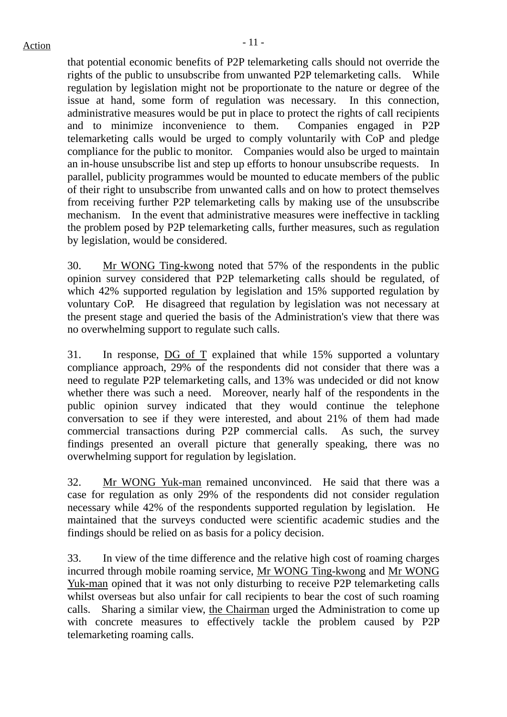that potential economic benefits of P2P telemarketing calls should not override the rights of the public to unsubscribe from unwanted P2P telemarketing calls. While regulation by legislation might not be proportionate to the nature or degree of the issue at hand, some form of regulation was necessary. In this connection, administrative measures would be put in place to protect the rights of call recipients and to minimize inconvenience to them. Companies engaged in P2P telemarketing calls would be urged to comply voluntarily with CoP and pledge compliance for the public to monitor. Companies would also be urged to maintain an in-house unsubscribe list and step up efforts to honour unsubscribe requests. In parallel, publicity programmes would be mounted to educate members of the public of their right to unsubscribe from unwanted calls and on how to protect themselves from receiving further P2P telemarketing calls by making use of the unsubscribe mechanism. In the event that administrative measures were ineffective in tackling the problem posed by P2P telemarketing calls, further measures, such as regulation by legislation, would be considered.

30. Mr WONG Ting-kwong noted that 57% of the respondents in the public opinion survey considered that P2P telemarketing calls should be regulated, of which 42% supported regulation by legislation and 15% supported regulation by voluntary CoP. He disagreed that regulation by legislation was not necessary at the present stage and queried the basis of the Administration's view that there was no overwhelming support to regulate such calls.

31. In response, DG of T explained that while 15% supported a voluntary compliance approach, 29% of the respondents did not consider that there was a need to regulate P2P telemarketing calls, and 13% was undecided or did not know whether there was such a need. Moreover, nearly half of the respondents in the public opinion survey indicated that they would continue the telephone conversation to see if they were interested, and about 21% of them had made commercial transactions during P2P commercial calls. As such, the survey findings presented an overall picture that generally speaking, there was no overwhelming support for regulation by legislation.

32. Mr WONG Yuk-man remained unconvinced. He said that there was a case for regulation as only 29% of the respondents did not consider regulation necessary while 42% of the respondents supported regulation by legislation. He maintained that the surveys conducted were scientific academic studies and the findings should be relied on as basis for a policy decision.

33. In view of the time difference and the relative high cost of roaming charges incurred through mobile roaming service, Mr WONG Ting-kwong and Mr WONG Yuk-man opined that it was not only disturbing to receive P2P telemarketing calls whilst overseas but also unfair for call recipients to bear the cost of such roaming calls. Sharing a similar view, the Chairman urged the Administration to come up with concrete measures to effectively tackle the problem caused by P2P telemarketing roaming calls.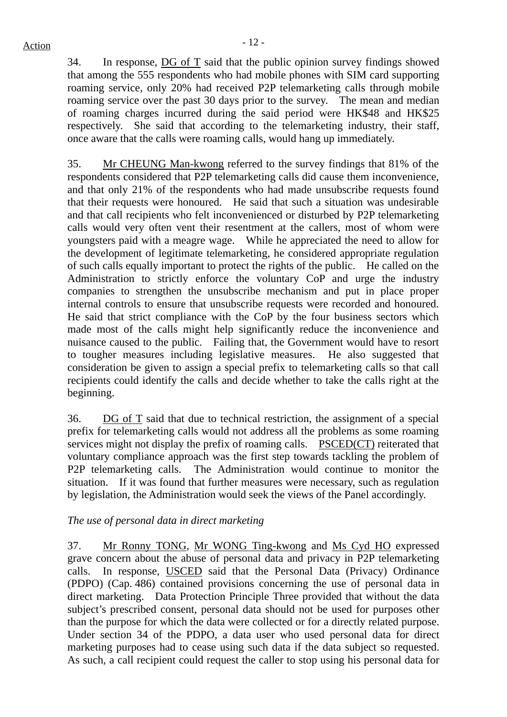34. In response, DG of T said that the public opinion survey findings showed that among the 555 respondents who had mobile phones with SIM card supporting roaming service, only 20% had received P2P telemarketing calls through mobile roaming service over the past 30 days prior to the survey. The mean and median of roaming charges incurred during the said period were HK\$48 and HK\$25 respectively. She said that according to the telemarketing industry, their staff, once aware that the calls were roaming calls, would hang up immediately.

35. Mr CHEUNG Man-kwong referred to the survey findings that 81% of the respondents considered that P2P telemarketing calls did cause them inconvenience, and that only 21% of the respondents who had made unsubscribe requests found that their requests were honoured. He said that such a situation was undesirable and that call recipients who felt inconvenienced or disturbed by P2P telemarketing calls would very often vent their resentment at the callers, most of whom were youngsters paid with a meagre wage. While he appreciated the need to allow for the development of legitimate telemarketing, he considered appropriate regulation of such calls equally important to protect the rights of the public. He called on the Administration to strictly enforce the voluntary CoP and urge the industry companies to strengthen the unsubscribe mechanism and put in place proper internal controls to ensure that unsubscribe requests were recorded and honoured. He said that strict compliance with the CoP by the four business sectors which made most of the calls might help significantly reduce the inconvenience and nuisance caused to the public. Failing that, the Government would have to resort to tougher measures including legislative measures. He also suggested that consideration be given to assign a special prefix to telemarketing calls so that call recipients could identify the calls and decide whether to take the calls right at the beginning.

36. DG of T said that due to technical restriction, the assignment of a special prefix for telemarketing calls would not address all the problems as some roaming services might not display the prefix of roaming calls. PSCED(CT) reiterated that voluntary compliance approach was the first step towards tackling the problem of P2P telemarketing calls. The Administration would continue to monitor the situation. If it was found that further measures were necessary, such as regulation by legislation, the Administration would seek the views of the Panel accordingly.

#### *The use of personal data in direct marketing*

37. Mr Ronny TONG, Mr WONG Ting-kwong and Ms Cyd HO expressed grave concern about the abuse of personal data and privacy in P2P telemarketing calls. In response, USCED said that the Personal Data (Privacy) Ordinance (PDPO) (Cap. 486) contained provisions concerning the use of personal data in direct marketing. Data Protection Principle Three provided that without the data subject's prescribed consent, personal data should not be used for purposes other than the purpose for which the data were collected or for a directly related purpose. Under section 34 of the PDPO, a data user who used personal data for direct marketing purposes had to cease using such data if the data subject so requested. As such, a call recipient could request the caller to stop using his personal data for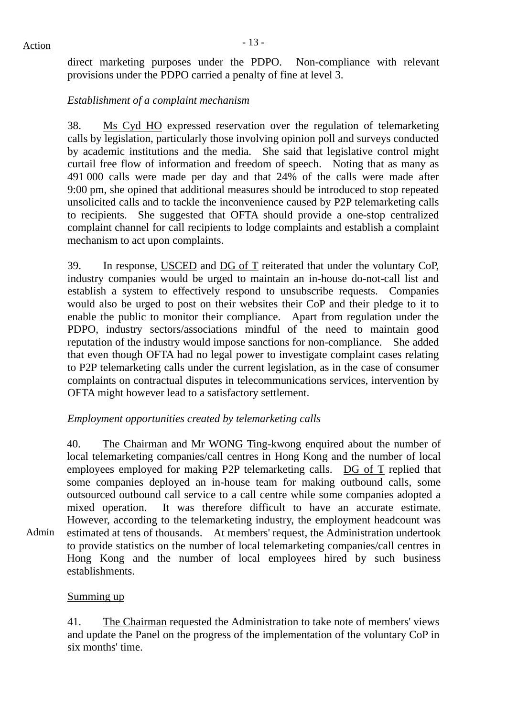direct marketing purposes under the PDPO. Non-compliance with relevant provisions under the PDPO carried a penalty of fine at level 3.

#### *Establishment of a complaint mechanism*

38. Ms Cyd HO expressed reservation over the regulation of telemarketing calls by legislation, particularly those involving opinion poll and surveys conducted by academic institutions and the media. She said that legislative control might curtail free flow of information and freedom of speech. Noting that as many as 491 000 calls were made per day and that 24% of the calls were made after 9:00 pm, she opined that additional measures should be introduced to stop repeated unsolicited calls and to tackle the inconvenience caused by P2P telemarketing calls to recipients. She suggested that OFTA should provide a one-stop centralized complaint channel for call recipients to lodge complaints and establish a complaint mechanism to act upon complaints.

39. In response, USCED and DG of T reiterated that under the voluntary CoP, industry companies would be urged to maintain an in-house do-not-call list and establish a system to effectively respond to unsubscribe requests. Companies would also be urged to post on their websites their CoP and their pledge to it to enable the public to monitor their compliance. Apart from regulation under the PDPO, industry sectors/associations mindful of the need to maintain good reputation of the industry would impose sanctions for non-compliance. She added that even though OFTA had no legal power to investigate complaint cases relating to P2P telemarketing calls under the current legislation, as in the case of consumer complaints on contractual disputes in telecommunications services, intervention by OFTA might however lead to a satisfactory settlement.

#### *Employment opportunities created by telemarketing calls*

Admin 40. The Chairman and Mr WONG Ting-kwong enquired about the number of local telemarketing companies/call centres in Hong Kong and the number of local employees employed for making P2P telemarketing calls. DG of T replied that some companies deployed an in-house team for making outbound calls, some outsourced outbound call service to a call centre while some companies adopted a mixed operation. It was therefore difficult to have an accurate estimate. However, according to the telemarketing industry, the employment headcount was estimated at tens of thousands. At members' request, the Administration undertook to provide statistics on the number of local telemarketing companies/call centres in Hong Kong and the number of local employees hired by such business establishments.

#### Summing up

41. The Chairman requested the Administration to take note of members' views and update the Panel on the progress of the implementation of the voluntary CoP in six months' time.